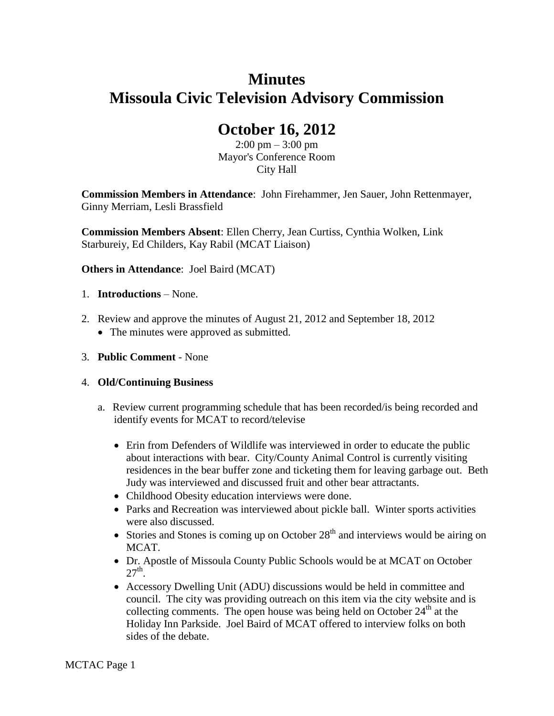# **Minutes Missoula Civic Television Advisory Commission**

# **October 16, 2012**

 $2:00 \text{ pm} - 3:00 \text{ pm}$ Mayor's Conference Room City Hall

**Commission Members in Attendance**: John Firehammer, Jen Sauer, John Rettenmayer, Ginny Merriam, Lesli Brassfield

**Commission Members Absent**: Ellen Cherry, Jean Curtiss, Cynthia Wolken, Link Starbureiy, Ed Childers, Kay Rabil (MCAT Liaison)

**Others in Attendance**: Joel Baird (MCAT)

- 1. **Introductions** None.
- 2. Review and approve the minutes of August 21, 2012 and September 18, 2012
	- The minutes were approved as submitted.
- 3. **Public Comment** None

## 4. **Old/Continuing Business**

- a. Review current programming schedule that has been recorded/is being recorded and identify events for MCAT to record/televise
	- Erin from Defenders of Wildlife was interviewed in order to educate the public about interactions with bear. City/County Animal Control is currently visiting residences in the bear buffer zone and ticketing them for leaving garbage out. Beth Judy was interviewed and discussed fruit and other bear attractants.
	- Childhood Obesity education interviews were done.
	- Parks and Recreation was interviewed about pickle ball. Winter sports activities were also discussed.
	- Stories and Stones is coming up on October  $28<sup>th</sup>$  and interviews would be airing on MCAT.
	- Dr. Apostle of Missoula County Public Schools would be at MCAT on October  $27<sup>th</sup>$ .
	- Accessory Dwelling Unit (ADU) discussions would be held in committee and council. The city was providing outreach on this item via the city website and is collecting comments. The open house was being held on October  $24<sup>th</sup>$  at the Holiday Inn Parkside. Joel Baird of MCAT offered to interview folks on both sides of the debate.